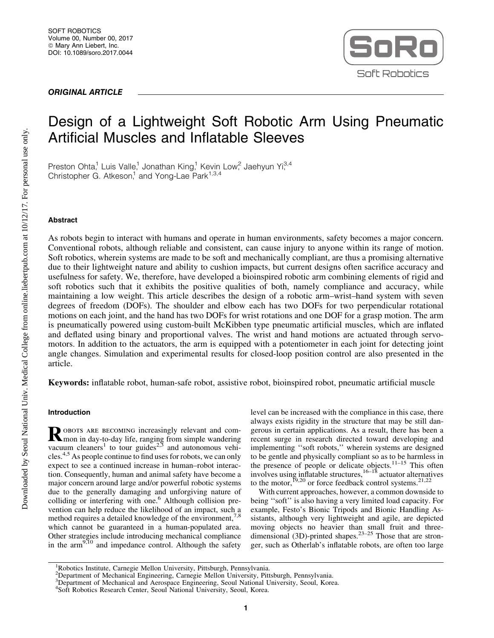# ORIGINAL ARTICLE



# Design of a Lightweight Soft Robotic Arm Using Pneumatic Artificial Muscles and Inflatable Sleeves

Preston Ohta,<sup>1</sup> Luis Valle,<sup>1</sup> Jonathan King,<sup>1</sup> Kevin Low,<sup>2</sup> Jaehyun Yi,<sup>3,4</sup> Christopher G. Atkeson,<sup>1</sup> and Yong-Lae Park<sup>1,3,4</sup>

# Abstract

As robots begin to interact with humans and operate in human environments, safety becomes a major concern. Conventional robots, although reliable and consistent, can cause injury to anyone within its range of motion. Soft robotics, wherein systems are made to be soft and mechanically compliant, are thus a promising alternative due to their lightweight nature and ability to cushion impacts, but current designs often sacrifice accuracy and usefulness for safety. We, therefore, have developed a bioinspired robotic arm combining elements of rigid and soft robotics such that it exhibits the positive qualities of both, namely compliance and accuracy, while maintaining a low weight. This article describes the design of a robotic arm–wrist–hand system with seven degrees of freedom (DOFs). The shoulder and elbow each has two DOFs for two perpendicular rotational motions on each joint, and the hand has two DOFs for wrist rotations and one DOF for a grasp motion. The arm is pneumatically powered using custom-built McKibben type pneumatic artificial muscles, which are inflated and deflated using binary and proportional valves. The wrist and hand motions are actuated through servomotors. In addition to the actuators, the arm is equipped with a potentiometer in each joint for detecting joint angle changes. Simulation and experimental results for closed-loop position control are also presented in the article.

Keywords: inflatable robot, human-safe robot, assistive robot, bioinspired robot, pneumatic artificial muscle

# Introduction

ROBOTS ARE BECOMING increasingly relevant and com-<br>mon in day-to-day life, ranging from simple wandering vacuum cleaners<sup>1</sup> to tour guides<sup>2,3</sup> and autonomous vehicles.4,5 As people continue to find uses for robots, we can only expect to see a continued increase in human–robot interaction. Consequently, human and animal safety have become a major concern around large and/or powerful robotic systems due to the generally damaging and unforgiving nature of colliding or interfering with one.<sup>6</sup> Although collision prevention can help reduce the likelihood of an impact, such a method requires a detailed knowledge of the environment,  $7,8$ which cannot be guaranteed in a human-populated area. Other strategies include introducing mechanical compliance in the arm<sup>9,10</sup> and impedance control. Although the safety

level can be increased with the compliance in this case, there always exists rigidity in the structure that may be still dangerous in certain applications. As a result, there has been a recent surge in research directed toward developing and implementing ''soft robots,'' wherein systems are designed to be gentle and physically compliant so as to be harmless in the presence of people or delicate objects. $11-15$  This often involves using inflatable structures,  $16-18$  actuator alternatives to the motor,<sup>19,20</sup> or force feedback control systems.<sup>21,22</sup>

With current approaches, however, a common downside to being ''soft'' is also having a very limited load capacity. For example, Festo's Bionic Tripods and Bionic Handling Assistants, although very lightweight and agile, are depicted moving objects no heavier than small fruit and threedimensional (3D)-printed shapes.<sup>23–25</sup> Those that are stronger, such as Otherlab's inflatable robots, are often too large

<sup>&</sup>lt;sup>1</sup> Robotics Institute, Carnegie Mellon University, Pittsburgh, Pennsylvania.

<sup>2</sup> Department of Mechanical Engineering, Carnegie Mellon University, Pittsburgh, Pennsylvania.

<sup>3</sup> Department of Mechanical and Aerospace Engineering, Seoul National University, Seoul, Korea. 4 Soft Robotics Research Center, Seoul National University, Seoul, Korea.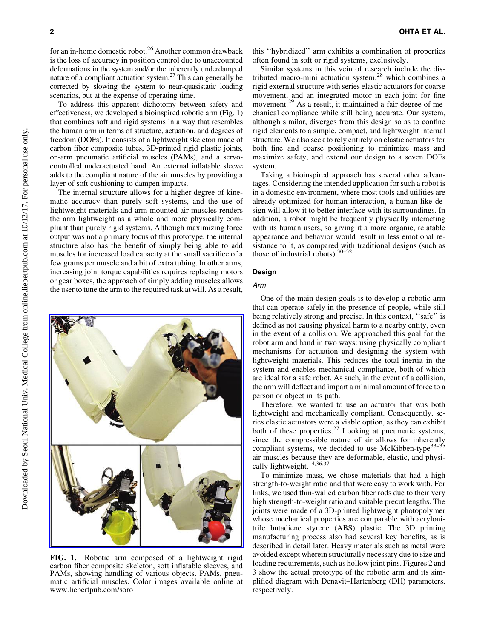for an in-home domestic robot.<sup>26</sup> Another common drawback is the loss of accuracy in position control due to unaccounted deformations in the system and/or the inherently underdamped nature of a compliant actuation system.<sup>27</sup> This can generally be corrected by slowing the system to near-quasistatic loading scenarios, but at the expense of operating time.

To address this apparent dichotomy between safety and effectiveness, we developed a bioinspired robotic arm (Fig. 1) that combines soft and rigid systems in a way that resembles the human arm in terms of structure, actuation, and degrees of freedom (DOFs). It consists of a lightweight skeleton made of carbon fiber composite tubes, 3D-printed rigid plastic joints, on-arm pneumatic artificial muscles (PAMs), and a servocontrolled underactuated hand. An external inflatable sleeve adds to the compliant nature of the air muscles by providing a layer of soft cushioning to dampen impacts.

The internal structure allows for a higher degree of kinematic accuracy than purely soft systems, and the use of lightweight materials and arm-mounted air muscles renders the arm lightweight as a whole and more physically compliant than purely rigid systems. Although maximizing force output was not a primary focus of this prototype, the internal structure also has the benefit of simply being able to add muscles for increased load capacity at the small sacrifice of a few grams per muscle and a bit of extra tubing. In other arms, increasing joint torque capabilities requires replacing motors or gear boxes, the approach of simply adding muscles allows the user to tune the arm to the required task at will. As a result,



FIG. 1. Robotic arm composed of a lightweight rigid carbon fiber composite skeleton, soft inflatable sleeves, and PAMs, showing handling of various objects. PAMs, pneumatic artificial muscles. Color images available online at www.liebertpub.com/soro

this ''hybridized'' arm exhibits a combination of properties often found in soft or rigid systems, exclusively.

Similar systems in this vein of research include the distributed macro-mini actuation system, $^{28}$  which combines a rigid external structure with series elastic actuators for coarse movement, and an integrated motor in each joint for fine movement.<sup>29</sup> As a result, it maintained a fair degree of mechanical compliance while still being accurate. Our system, although similar, diverges from this design so as to confine rigid elements to a simple, compact, and lightweight internal structure. We also seek to rely entirely on elastic actuators for both fine and coarse positioning to minimize mass and maximize safety, and extend our design to a seven DOFs system.

Taking a bioinspired approach has several other advantages. Considering the intended application for such a robot is in a domestic environment, where most tools and utilities are already optimized for human interaction, a human-like design will allow it to better interface with its surroundings. In addition, a robot might be frequently physically interacting with its human users, so giving it a more organic, relatable appearance and behavior would result in less emotional resistance to it, as compared with traditional designs (such as those of industrial robots).  $30-32$ 

# Design

#### Arm

One of the main design goals is to develop a robotic arm that can operate safely in the presence of people, while still being relatively strong and precise. In this context, ''safe'' is defined as not causing physical harm to a nearby entity, even in the event of a collision. We approached this goal for the robot arm and hand in two ways: using physically compliant mechanisms for actuation and designing the system with lightweight materials. This reduces the total inertia in the system and enables mechanical compliance, both of which are ideal for a safe robot. As such, in the event of a collision, the arm will deflect and impart a minimal amount of force to a person or object in its path.

Therefore, we wanted to use an actuator that was both lightweight and mechanically compliant. Consequently, series elastic actuators were a viable option, as they can exhibit both of these properties. $27$  Looking at pneumatic systems, since the compressible nature of air allows for inherently compliant systems, we decided to use McKibben-type<sup>33-35</sup> air muscles because they are deformable, elastic, and physically lightweight.<sup>14,36,37</sup>

To minimize mass, we chose materials that had a high strength-to-weight ratio and that were easy to work with. For links, we used thin-walled carbon fiber rods due to their very high strength-to-weight ratio and suitable precut lengths. The joints were made of a 3D-printed lightweight photopolymer whose mechanical properties are comparable with acrylonitrile butadiene styrene (ABS) plastic. The 3D printing manufacturing process also had several key benefits, as is described in detail later. Heavy materials such as metal were avoided except wherein structurally necessary due to size and loading requirements, such as hollow joint pins. Figures 2 and 3 show the actual prototype of the robotic arm and its simplified diagram with Denavit–Hartenberg (DH) parameters, respectively.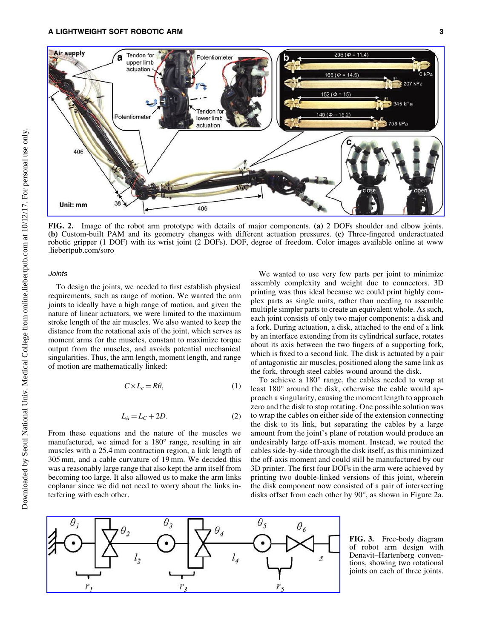

FIG. 2. Image of the robot arm prototype with details of major components. (a) 2 DOFs shoulder and elbow joints. (b) Custom-built PAM and its geometry changes with different actuation pressures. (c) Three-fingered underactuated robotic gripper (1 DOF) with its wrist joint (2 DOFs). DOF, degree of freedom. Color images available online at www .liebertpub.com/soro

## Joints

To design the joints, we needed to first establish physical requirements, such as range of motion. We wanted the arm joints to ideally have a high range of motion, and given the nature of linear actuators, we were limited to the maximum stroke length of the air muscles. We also wanted to keep the distance from the rotational axis of the joint, which serves as moment arms for the muscles, constant to maximize torque output from the muscles, and avoids potential mechanical singularities. Thus, the arm length, moment length, and range of motion are mathematically linked:

$$
C \times L_c = R\theta,\tag{1}
$$

$$
L_A = L_C + 2D. \tag{2}
$$

From these equations and the nature of the muscles we manufactured, we aimed for a 180° range, resulting in air muscles with a 25.4 mm contraction region, a link length of 305 mm, and a cable curvature of 19 mm. We decided this was a reasonably large range that also kept the arm itself from becoming too large. It also allowed us to make the arm links coplanar since we did not need to worry about the links interfering with each other.

We wanted to use very few parts per joint to minimize assembly complexity and weight due to connectors. 3D printing was thus ideal because we could print highly complex parts as single units, rather than needing to assemble multiple simpler parts to create an equivalent whole. As such, each joint consists of only two major components: a disk and a fork. During actuation, a disk, attached to the end of a link by an interface extending from its cylindrical surface, rotates about its axis between the two fingers of a supporting fork, which is fixed to a second link. The disk is actuated by a pair of antagonistic air muscles, positioned along the same link as the fork, through steel cables wound around the disk.

To achieve a 180° range, the cables needed to wrap at least 180° around the disk, otherwise the cable would approach a singularity, causing the moment length to approach zero and the disk to stop rotating. One possible solution was to wrap the cables on either side of the extension connecting the disk to its link, but separating the cables by a large amount from the joint's plane of rotation would produce an undesirably large off-axis moment. Instead, we routed the cables side-by-side through the disk itself, as this minimized the off-axis moment and could still be manufactured by our 3D printer. The first four DOFs in the arm were achieved by printing two double-linked versions of this joint, wherein the disk component now consisted of a pair of intersecting disks offset from each other by 90°, as shown in Figure 2a.



FIG. 3. Free-body diagram of robot arm design with Denavit–Hartenberg conventions, showing two rotational joints on each of three joints.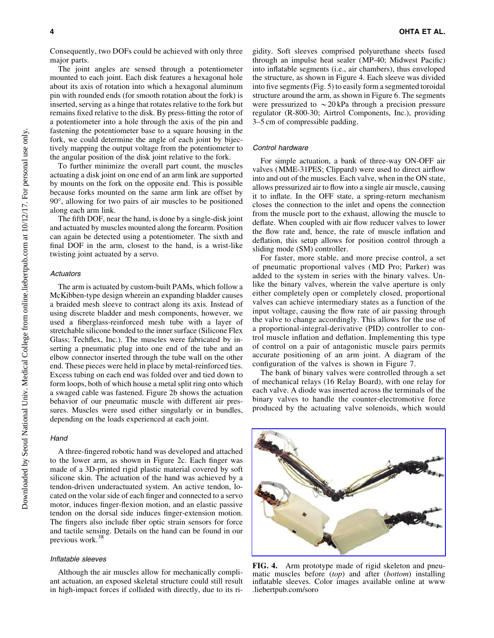Consequently, two DOFs could be achieved with only three major parts.

The joint angles are sensed through a potentiometer mounted to each joint. Each disk features a hexagonal hole about its axis of rotation into which a hexagonal aluminum pin with rounded ends (for smooth rotation about the fork) is inserted, serving as a hinge that rotates relative to the fork but remains fixed relative to the disk. By press-fitting the rotor of a potentiometer into a hole through the axis of the pin and fastening the potentiometer base to a square housing in the fork, we could determine the angle of each joint by bijectively mapping the output voltage from the potentiometer to the angular position of the disk joint relative to the fork.

To further minimize the overall part count, the muscles actuating a disk joint on one end of an arm link are supported by mounts on the fork on the opposite end. This is possible because forks mounted on the same arm link are offset by 90°, allowing for two pairs of air muscles to be positioned along each arm link.

The fifth DOF, near the hand, is done by a single-disk joint and actuated by muscles mounted along the forearm. Position can again be detected using a potentiometer. The sixth and final DOF in the arm, closest to the hand, is a wrist-like twisting joint actuated by a servo.

#### **Actuators**

The arm is actuated by custom-built PAMs, which follow a McKibben-type design wherein an expanding bladder causes a braided mesh sleeve to contract along its axis. Instead of using discrete bladder and mesh components, however, we used a fiberglass-reinforced mesh tube with a layer of stretchable silicone bonded to the inner surface (Silicone Flex Glass; Techflex, Inc.). The muscles were fabricated by inserting a pneumatic plug into one end of the tube and an elbow connector inserted through the tube wall on the other end. These pieces were held in place by metal-reinforced ties. Excess tubing on each end was folded over and tied down to form loops, both of which house a metal split ring onto which a swaged cable was fastened. Figure 2b shows the actuation behavior of our pneumatic muscle with different air pressures. Muscles were used either singularly or in bundles, depending on the loads experienced at each joint.

## Hand

A three-fingered robotic hand was developed and attached to the lower arm, as shown in Figure 2c. Each finger was made of a 3D-printed rigid plastic material covered by soft silicone skin. The actuation of the hand was achieved by a tendon-driven underactuated system. An active tendon, located on the volar side of each finger and connected to a servo motor, induces finger-flexion motion, and an elastic passive tendon on the dorsal side induces finger-extension motion. The fingers also include fiber optic strain sensors for force and tactile sensing. Details on the hand can be found in our previous work.<sup>38</sup>

## Inflatable sleeves

Although the air muscles allow for mechanically compliant actuation, an exposed skeletal structure could still result in high-impact forces if collided with directly, due to its rigidity. Soft sleeves comprised polyurethane sheets fused through an impulse heat sealer (MP-40; Midwest Pacific) into inflatable segments (i.e., air chambers), thus enveloped the structure, as shown in Figure 4. Each sleeve was divided into five segments (Fig. 5) to easily form a segmented toroidal structure around the arm, as shown in Figure 6. The segments were pressurized to  $\sim$  20 kPa through a precision pressure regulator (R-800-30; Airtrol Components, Inc.), providing 3–5 cm of compressible padding.

# Control hardware

For simple actuation, a bank of three-way ON-OFF air valves (MME-31PES; Clippard) were used to direct airflow into and out of the muscles. Each valve, when in the ON state, allows pressurized air to flow into a single air muscle, causing it to inflate. In the OFF state, a spring-return mechanism closes the connection to the inlet and opens the connection from the muscle port to the exhaust, allowing the muscle to deflate. When coupled with air flow reducer valves to lower the flow rate and, hence, the rate of muscle inflation and deflation, this setup allows for position control through a sliding mode (SM) controller.

For faster, more stable, and more precise control, a set of pneumatic proportional valves (MD Pro; Parker) was added to the system in series with the binary valves. Unlike the binary valves, wherein the valve aperture is only either completely open or completely closed, proportional valves can achieve intermediary states as a function of the input voltage, causing the flow rate of air passing through the valve to change accordingly. This allows for the use of a proportional-integral-derivative (PID) controller to control muscle inflation and deflation. Implementing this type of control on a pair of antagonistic muscle pairs permits accurate positioning of an arm joint. A diagram of the configuration of the valves is shown in Figure 7.

The bank of binary valves were controlled through a set of mechanical relays (16 Relay Board), with one relay for each valve. A diode was inserted across the terminals of the binary valves to handle the counter-electromotive force produced by the actuating valve solenoids, which would



FIG. 4. Arm prototype made of rigid skeleton and pneumatic muscles before (*top*) and after (*bottom*) installing inflatable sleeves. Color images available online at www .liebertpub.com/soro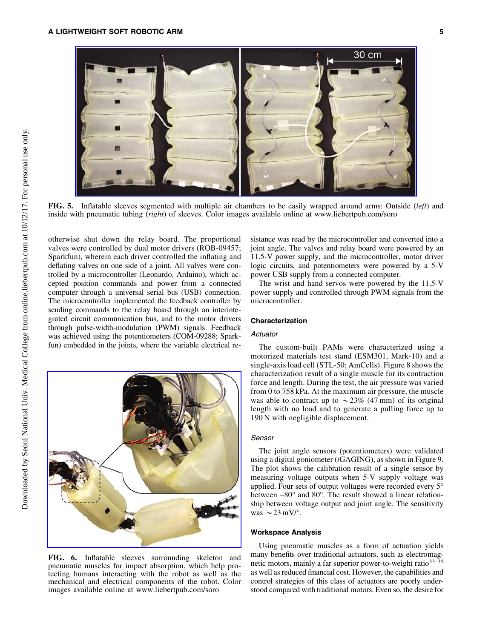

FIG. 5. Inflatable sleeves segmented with multiple air chambers to be easily wrapped around arms: Outside (*left*) and inside with pneumatic tubing (*right*) of sleeves. Color images available online at www.liebertpub.com/soro

otherwise shut down the relay board. The proportional valves were controlled by dual motor drivers (ROB-09457; Sparkfun), wherein each driver controlled the inflating and deflating valves on one side of a joint. All valves were controlled by a microcontroller (Leonardo, Arduino), which accepted position commands and power from a connected computer through a universal serial bus (USB) connection. The microcontroller implemented the feedback controller by sending commands to the relay board through an interintegrated circuit communication bus, and to the motor drivers through pulse-width-modulation (PWM) signals. Feedback was achieved using the potentiometers (COM-09288; Sparkfun) embedded in the joints, where the variable electrical re-



FIG. 6. Inflatable sleeves surrounding skeleton and pneumatic muscles for impact absorption, which help protecting humans interacting with the robot as well as the mechanical and electrical components of the robot. Color images available online at www.liebertpub.com/soro

sistance was read by the microcontroller and converted into a joint angle. The valves and relay board were powered by an 11.5-V power supply, and the microcontroller, motor driver logic circuits, and potentiometers were powered by a 5-V power USB supply from a connected computer.

The wrist and hand servos were powered by the 11.5-V power supply and controlled through PWM signals from the microcontroller.

# Characterization

# **Actuator**

The custom-built PAMs were characterized using a motorized materials test stand (ESM301, Mark-10) and a single-axis load cell (STL-50; AmCells). Figure 8 shows the characterization result of a single muscle for its contraction force and length. During the test, the air pressure was varied from 0 to 758 kPa. At the maximum air pressure, the muscle was able to contract up to  $\sim$  23% (47 mm) of its original length with no load and to generate a pulling force up to 190 N with negligible displacement.

# Sensor

The joint angle sensors (potentiometers) were validated using a digital goniometer (*i*GAGING), as shown in Figure 9. The plot shows the calibration result of a single sensor by measuring voltage outputs when 5-V supply voltage was applied. Four sets of output voltages were recorded every 5° between  $-80^{\circ}$  and  $80^{\circ}$ . The result showed a linear relationship between voltage output and joint angle. The sensitivity was  $\sim$  23 mV/°.

# Workspace Analysis

Using pneumatic muscles as a form of actuation yields many benefits over traditional actuators, such as electromagnetic motors, mainly a far superior power-to-weight ratio<sup>33–35</sup> as well as reduced financial cost. However, the capabilities and control strategies of this class of actuators are poorly understood compared with traditional motors. Even so, the desire for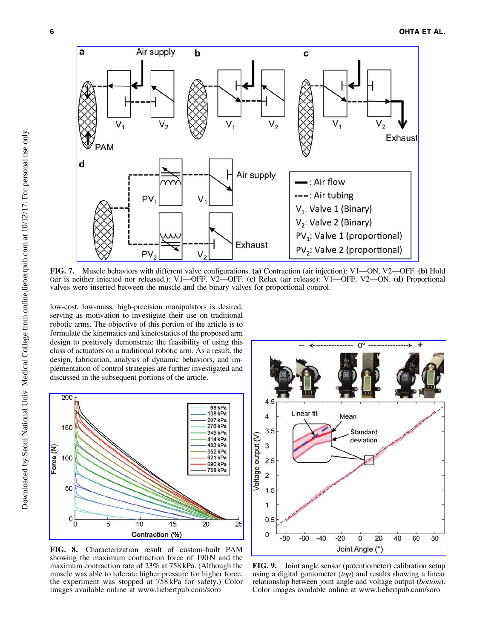

FIG. 7. Muscle behaviors with different valve configurations. (a) Contraction (air injection): V1—ON, V2—OFF. (b) Hold (air is neither injected nor released.): V1—OFF, V2—OFF. (c) Relax (air release): V1—OFF, V2—ON. (d) Proportional valves were inserted between the muscle and the binary valves for proportional control.

low-cost, low-mass, high-precision manipulators is desired, serving as motivation to investigate their use on traditional robotic arms. The objective of this portion of the article is to formulate the kinematics and kinetostatics of the proposed arm design to positively demonstrate the feasibility of using this class of actuators on a traditional robotic arm. As a result, the design, fabrication, analysis of dynamic behaviors, and implementation of control strategies are further investigated and discussed in the subsequent portions of the article.



FIG. 8. Characterization result of custom-built PAM showing the maximum contraction force of 190N and the maximum contraction rate of 23% at 758 kPa. (Although the muscle was able to tolerate higher pressure for higher force, the experiment was stopped at 758 kPa for safety.) Color images available online at www.liebertpub.com/soro



FIG. 9. Joint angle sensor (potentiometer) calibration setup using a digital goniometer (*top*) and results showing a linear relationship between joint angle and voltage output (*bottom*). Color images available online at www.liebertpub.com/soro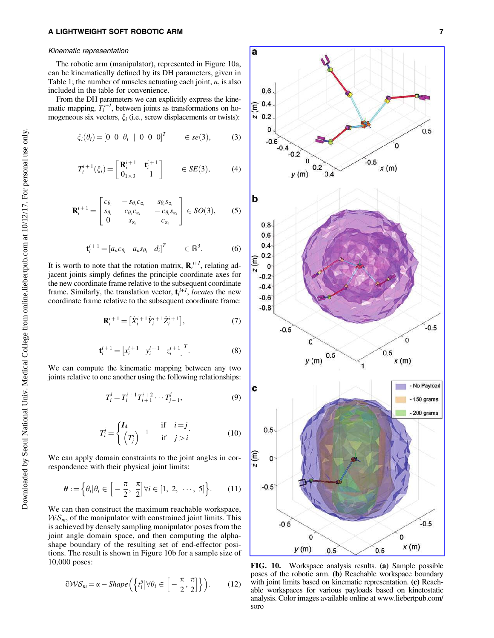# A LIGHTWEIGHT SOFT ROBOTIC ARM 7

#### Kinematic representation

The robotic arm (manipulator), represented in Figure 10a, can be kinematically defined by its DH parameters, given in Table 1; the number of muscles actuating each joint, *n*, is also included in the table for convenience.

From the DH parameters we can explicitly express the kinematic mapping,  $\hat{T}_i^{i+1}$ , between joints as transformations on homogeneous six vectors,  $\xi$ <sub>*i*</sub> (i.e., screw displacements or twists):

$$
\xi_i(\theta_i) = [0 \ 0 \ \theta_i \ | \ 0 \ 0 \ 0]^T \qquad \in se(3),
$$
 (3)

$$
T_i^{i+1}(\xi_i) = \begin{bmatrix} \mathbf{R}_i^{i+1} & \mathbf{t}_i^{i+1} \\ 0_{1\times 3} & 1 \end{bmatrix} \qquad \in SE(3), \tag{4}
$$

$$
\mathbf{R}_{i}^{i+1} = \begin{bmatrix} c_{\theta_{i}} & -s_{\theta_{i}}c_{\alpha_{i}} & s_{\theta_{i}}s_{\alpha_{i}} \\ s_{\theta_{i}} & c_{\theta_{i}}c_{\alpha_{i}} & -c_{\theta_{i}}s_{\alpha_{i}} \\ 0 & s_{\alpha_{i}} & c_{\alpha_{i}} \end{bmatrix} \in SO(3),
$$
 (5)

$$
\mathbf{t}_{i}^{i+1} = [a_n c_{\theta_i} \quad a_n s_{\theta_i} \quad d_i]^T \qquad \in \mathbb{R}^3. \tag{6}
$$

It is worth to note that the rotation matrix,  $\mathbf{R}_{i}^{i+1}$ , relating adjacent joints simply defines the principle coordinate axes for the new coordinate frame relative to the subsequent coordinate frame. Similarly, the translation vector,  $\mathbf{t}^{i+1}_{i}$ , *locates* the new coordinate frame relative to the subsequent coordinate frame:

$$
\mathbf{R}_{i}^{i+1} = \left[ \hat{X}_{i}^{i+1} \hat{Y}_{i}^{i+1} \hat{Z}_{i}^{i+1} \right],\tag{7}
$$

$$
\mathbf{t}_{i}^{i+1} = \begin{bmatrix} x_{i}^{i+1} & y_{i}^{i+1} & z_{i}^{i+1} \end{bmatrix}^{T}.
$$
 (8)

We can compute the kinematic mapping between any two joints relative to one another using the following relationships:

$$
T_i^j = T_i^{i+1} T_{i+1}^{i+2} \cdots T_{j-1}^j,
$$
\n(9)

$$
T_i^j = \begin{cases} I_4 & \text{if } i = j \\ \left(T_j^i\right)^{-1} & \text{if } j > i \end{cases} \tag{10}
$$

We can apply domain constraints to the joint angles in correspondence with their physical joint limits:

$$
\boldsymbol{\theta} := \left\{ \theta_i | \theta_i \in \left[ -\frac{\pi}{2}, \frac{\pi}{2} \right] \forall i \in [1, 2, \cdots, 5] \right\}.
$$
 (11)

We can then construct the maximum reachable workspace,  $WS_m$ , of the manipulator with constrained joint limits. This is achieved by densely sampling manipulator poses from the joint angle domain space, and then computing the alphashape boundary of the resulting set of end-effector positions. The result is shown in Figure 10b for a sample size of 10,000 poses:

$$
\partial \mathcal{WS}_m = \alpha - Shape\left(\left\{t_1^5 \middle| \forall \theta_i \in \left[-\frac{\pi}{2}, \frac{\pi}{2}\right]\right\}\right). \tag{12}
$$



FIG. 10. Workspace analysis results. (a) Sample possible poses of the robotic arm. (b) Reachable workspace boundary with joint limits based on kinematic representation. (c) Reachable workspaces for various payloads based on kinetostatic analysis. Color images available online at www.liebertpub.com/ soro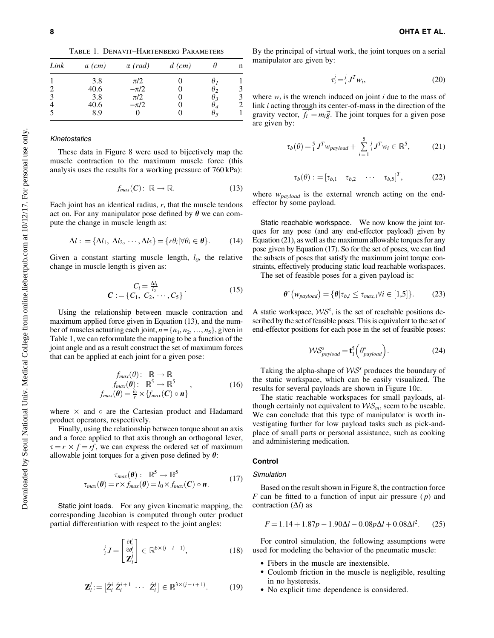| Link | $a$ (cm) | $\alpha$ (rad) | $d$ (cm) |                       | n |
|------|----------|----------------|----------|-----------------------|---|
|      | 3.8      | $\pi/2$        |          |                       |   |
| 2    | 40.6     | $-\pi/2$       |          | $\theta$ <sub>2</sub> |   |
| 3    | 3.8      | $\pi/2$        |          | $\theta$              |   |
| 4    | 40.6     | $-\pi/2$       |          | $\theta_4$            | 2 |
| 5    | 8.9      |                |          | H.                    |   |

Table 1. Denavit–Hartenberg Parameters

#### Kinetostatics

These data in Figure 8 were used to bijectively map the muscle contraction to the maximum muscle force (this analysis uses the results for a working pressure of 760 kPa):

$$
f_{max}(C): \ \mathbb{R} \to \mathbb{R}.\tag{13}
$$

Each joint has an identical radius, *r*, that the muscle tendons act on. For any manipulator pose defined by  $\theta$  we can compute the change in muscle length as:

$$
\Delta l := \{ \Delta l_1, \ \Delta l_2, \ \cdots, \Delta l_5 \} = \{ r \theta_i | \forall \theta_i \in \boldsymbol{\theta} \}. \tag{14}
$$

Given a constant starting muscle length,  $l_0$ , the relative change in muscle length is given as:

$$
C_i = \frac{\Delta l_i}{l_0} C := \{C_1, C_2, \cdots, C_5\}
$$
 (15)

Using the relationship between muscle contraction and maximum applied force given in Equation (13), and the number of muscles actuating each joint,  $n = \{n_1, n_2, ..., n_5\}$ , given in Table 1, we can reformulate the mapping to be a function of the joint angle and as a result construct the set of maximum forces that can be applied at each joint for a given pose:

$$
f_{max}(\theta): \mathbb{R} \to \mathbb{R}
$$
  
\n
$$
f_{max}(\theta): \mathbb{R}^{5} \to \mathbb{R}^{5}
$$
  
\n
$$
f_{max}(\theta) = \frac{b}{r} \times \{f_{max}(C) \circ n\}
$$
\n(16)

where  $\times$  and  $\circ$  are the Cartesian product and Hadamard product operators, respectively.

Finally, using the relationship between torque about an axis and a force applied to that axis through an orthogonal lever,  $\tau = r \times f = rf$ , we can express the ordered set of maximum allowable joint torques for a given pose defined by  $\theta$ :

$$
\tau_{max}(\boldsymbol{\theta}) : \mathbb{R}^5 \to \mathbb{R}^5
$$
\n
$$
\tau_{max}(\boldsymbol{\theta}) = r \times f_{max}(\boldsymbol{\theta}) = l_0 \times f_{max}(C) \circ n. \tag{17}
$$

Static joint loads. For any given kinematic mapping, the corresponding Jacobian is computed through outer product partial differentiation with respect to the joint angles:

$$
{}_{i}^{j}J = \begin{bmatrix} \frac{\partial t_{i}^{j}}{\partial \theta_{i}^{j}} \\ Z_{i}^{j} \end{bmatrix} \in \mathbb{R}^{6 \times (j-i+1)},
$$
 (18)

$$
\mathbf{Z}_i^j := \begin{bmatrix} \hat{Z}_i^i & \hat{Z}_i^{i+1} & \cdots & \hat{Z}_i^j \end{bmatrix} \in \mathbb{R}^{3 \times (j-i+1)}.
$$
 (19)

By the principal of virtual work, the joint torques on a serial manipulator are given by:

$$
\tau_i^j = i J^T w_i,\tag{20}
$$

where  $w_i$  is the wrench induced on joint  $i$  due to the mass of link *i* acting through its center-of-mass in the direction of the this *i* acting unough its center-or-mass in the direction of the gravity vector,  $f_i = m_i \vec{g}$ . The joint torques for a given pose are given by:

$$
\tau_b(\theta) = \frac{5}{1} J^T w_{payload} + \sum_{i=1}^{5} \frac{j}{i} J^T w_i \in \mathbb{R}^5,
$$
 (21)

$$
\tau_b(\theta) := \begin{bmatrix} \tau_{b,1} & \tau_{b,2} & \cdots & \tau_{b,5} \end{bmatrix}^T,\tag{22}
$$

where *wpayload* is the external wrench acting on the endeffector by some payload.

Static reachable workspace. We now know the joint torques for any pose (and any end-effector payload) given by Equation (21), as well as the maximum allowable torques for any pose given by Equation (17). So for the set of poses, we can find the subsets of poses that satisfy the maximum joint torque constraints, effectively producing static load reachable workspaces.

The set of feasible poses for a given payload is:

$$
\boldsymbol{\theta}^*\big(w_{payload}\big) = \{\boldsymbol{\theta} | \tau_{b,i} \leq \tau_{max,i} \forall i \in [1,5] \}.
$$
 (23)

A static workspace, WS*<sup>s</sup>* , is the set of reachable positions described by the set of feasible poses. This is equivalent to the set of end-effector positions for each pose in the set of feasible poses:

$$
\mathcal{WS}_{payload}^s = \mathbf{t}_1^5 \left( \theta_{payload}^* \right). \tag{24}
$$

Taking the alpha-shape of WS*<sup>s</sup>* produces the boundary of the static workspace, which can be easily visualized. The results for several payloads are shown in Figure 10c.

The static reachable workspaces for small payloads, although certainly not equivalent to  $\mathcal{WS}_m$ , seem to be useable. We can conclude that this type of manipulator is worth investigating further for low payload tasks such as pick-andplace of small parts or personal assistance, such as cooking and administering medication.

#### Control

# **Simulation**

Based on the result shown in Figure 8, the contraction force  $F$  can be fitted to a function of input air pressure  $(p)$  and contraction  $(\Delta l)$  as

$$
F = 1.14 + 1.87p - 1.90\Delta l - 0.08p\Delta l + 0.08\Delta l^2. \tag{25}
$$

For control simulation, the following assumptions were used for modeling the behavior of the pneumatic muscle:

- Fibers in the muscle are inextensible.
- Coulomb friction in the muscle is negligible, resulting in no hysteresis.
- No explicit time dependence is considered.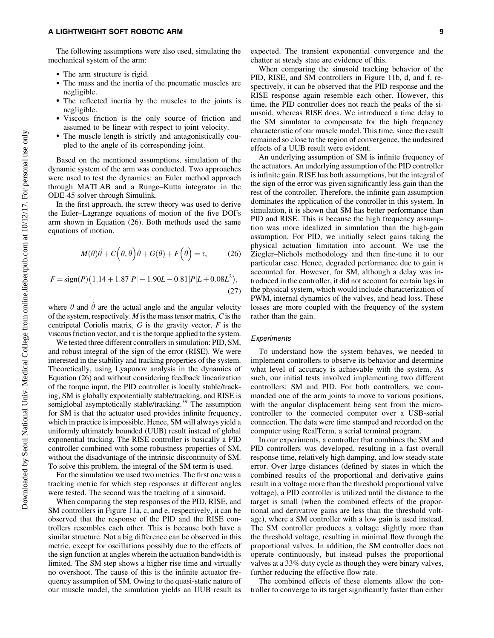#### A LIGHTWEIGHT SOFT ROBOTIC ARM 9

The following assumptions were also used, simulating the mechanical system of the arm:

- The arm structure is rigid.
- The mass and the inertia of the pneumatic muscles are negligible.
- The reflected inertia by the muscles to the joints is negligible.
- Viscous friction is the only source of friction and assumed to be linear with respect to joint velocity.
- The muscle length is strictly and antagonistically coupled to the angle of its corresponding joint.

Based on the mentioned assumptions, simulation of the dynamic system of the arm was conducted. Two approaches were used to test the dynamics: an Euler method approach through MATLAB and a Runge–Kutta integrator in the ODE-45 solver through Simulink.

In the first approach, the screw theory was used to derive the Euler–Lagrange equations of motion of the five DOFs arm shown in Equation (26). Both methods used the same equations of motion.

$$
M(\theta)\ddot{\theta} + C(\theta, \dot{\theta})\dot{\theta} + G(\theta) + F(\dot{\theta}) = \tau, \qquad (26)
$$

$$
F = sign(P)(1.14 + 1.87|P| - 1.90L - 0.81|P|L + 0.08L^{2}),
$$
\n(27)

where  $\theta$  and  $\dot{\theta}$  are the actual angle and the angular velocity of the system, respectively. *M* is the mass tensor matrix, *C* is the centripetal Coriolis matrix, *G* is the gravity vector, *F* is the viscous friction vector, and  $\tau$  is the torque applied to the system.

We tested three different controllers in simulation: PID, SM, and robust integral of the sign of the error (RISE). We were interested in the stability and tracking properties of the system. Theoretically, using Lyapunov analysis in the dynamics of Equation (26) and without considering feedback linearization of the torque input, the PID controller is locally stable/tracking, SM is globally exponentially stable/tracking, and RISE is semiglobal asymptotically stable/tracking.<sup>39</sup> The assumption for SM is that the actuator used provides infinite frequency, which in practice is impossible. Hence, SM will always yield a uniformly ultimately bounded (UUB) result instead of global exponential tracking. The RISE controller is basically a PID controller combined with some robustness properties of SM, without the disadvantage of the intrinsic discontinuity of SM. To solve this problem, the integral of the SM term is used.

For the simulation we used two metrics. The first one was a tracking metric for which step responses at different angles were tested. The second was the tracking of a sinusoid.

When comparing the step responses of the PID, RISE, and SM controllers in Figure 11a, c, and e, respectively, it can be observed that the response of the PID and the RISE controllers resembles each other. This is because both have a similar structure. Not a big difference can be observed in this metric, except for oscillations possibly due to the effects of the sign function at angles wherein the actuation bandwidth is limited. The SM step shows a higher rise time and virtually no overshoot. The cause of this is the infinite actuator frequency assumption of SM. Owing to the quasi-static nature of our muscle model, the simulation yields an UUB result as expected. The transient exponential convergence and the chatter at steady state are evidence of this.

When comparing the sinusoid tracking behavior of the PID, RISE, and SM controllers in Figure 11b, d, and f, respectively, it can be observed that the PID response and the RISE response again resemble each other. However, this time, the PID controller does not reach the peaks of the sinusoid, whereas RISE does. We introduced a time delay to the SM simulator to compensate for the high frequency characteristic of our muscle model. This time, since the result remained so close to the region of convergence, the undesired effects of a UUB result were evident.

An underlying assumption of SM is infinite frequency of the actuators. An underlying assumption of the PID controller is infinite gain. RISE has both assumptions, but the integral of the sign of the error was given significantly less gain than the rest of the controller. Therefore, the infinite gain assumption dominates the application of the controller in this system. In simulation, it is shown that SM has better performance than PID and RISE. This is because the high frequency assumption was more idealized in simulation than the high-gain assumption. For PID, we initially select gains taking the physical actuation limitation into account. We use the Ziegler–Nichols methodology and then fine-tune it to our particular case. Hence, degraded performance due to gain is accounted for. However, for SM, although a delay was introduced in the controller, it did not account for certain lags in the physical system, which would include characterization of PWM, internal dynamics of the valves, and head loss. These losses are more coupled with the frequency of the system rather than the gain.

## **Experiments**

To understand how the system behaves, we needed to implement controllers to observe its behavior and determine what level of accuracy is achievable with the system. As such, our initial tests involved implementing two different controllers: SM and PID. For both controllers, we commanded one of the arm joints to move to various positions, with the angular displacement being sent from the microcontroller to the connected computer over a USB-serial connection. The data were time stamped and recorded on the computer using RealTerm, a serial terminal program.

In our experiments, a controller that combines the SM and PID controllers was developed, resulting in a fast overall response time, relatively high damping, and low steady-state error. Over large distances (defined by states in which the combined results of the proportional and derivative gains result in a voltage more than the threshold proportional valve voltage), a PID controller is utilized until the distance to the target is small (when the combined effects of the proportional and derivative gains are less than the threshold voltage), where a SM controller with a low gain is used instead. The SM controller produces a voltage slightly more than the threshold voltage, resulting in minimal flow through the proportional valves. In addition, the SM controller does not operate continuously, but instead pulses the proportional valves at a 33% duty cycle as though they were binary valves, further reducing the effective flow rate.

The combined effects of these elements allow the controller to converge to its target significantly faster than either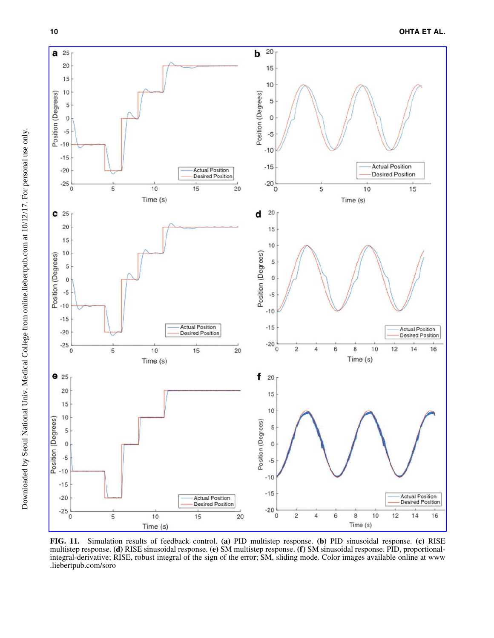

FIG. 11. Simulation results of feedback control. (a) PID multistep response. (b) PID sinusoidal response. (c) RISE multistep response. (d) RISE sinusoidal response. (e) SM multistep response. (f) SM sinusoidal response. PID, proportionalintegral-derivative; RISE, robust integral of the sign of the error; SM, sliding mode. Color images available online at www .liebertpub.com/soro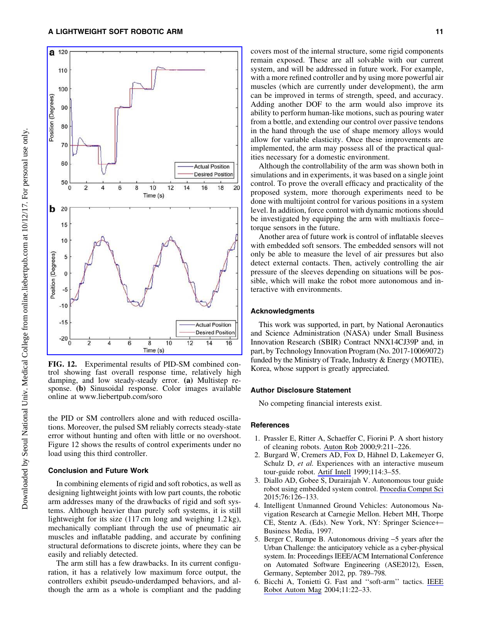

FIG. 12. Experimental results of PID-SM combined control showing fast overall response time, relatively high damping, and low steady-steady error. (a) Multistep response. (b) Sinusoidal response. Color images available online at www.liebertpub.com/soro

the PID or SM controllers alone and with reduced oscillations. Moreover, the pulsed SM reliably corrects steady-state error without hunting and often with little or no overshoot. Figure 12 shows the results of control experiments under no load using this third controller.

## Conclusion and Future Work

In combining elements of rigid and soft robotics, as well as designing lightweight joints with low part counts, the robotic arm addresses many of the drawbacks of rigid and soft systems. Although heavier than purely soft systems, it is still lightweight for its size (117 cm long and weighing 1.2 kg), mechanically compliant through the use of pneumatic air muscles and inflatable padding, and accurate by confining structural deformations to discrete joints, where they can be easily and reliably detected.

The arm still has a few drawbacks. In its current configuration, it has a relatively low maximum force output, the controllers exhibit pseudo-underdamped behaviors, and although the arm as a whole is compliant and the padding covers most of the internal structure, some rigid components remain exposed. These are all solvable with our current system, and will be addressed in future work. For example, with a more refined controller and by using more powerful air muscles (which are currently under development), the arm can be improved in terms of strength, speed, and accuracy. Adding another DOF to the arm would also improve its ability to perform human-like motions, such as pouring water from a bottle, and extending our control over passive tendons in the hand through the use of shape memory alloys would allow for variable elasticity. Once these improvements are implemented, the arm may possess all of the practical qualities necessary for a domestic environment.

Although the controllability of the arm was shown both in simulations and in experiments, it was based on a single joint control. To prove the overall efficacy and practicality of the proposed system, more thorough experiments need to be done with multijoint control for various positions in a system level. In addition, force control with dynamic motions should be investigated by equipping the arm with multiaxis force– torque sensors in the future.

Another area of future work is control of inflatable sleeves with embedded soft sensors. The embedded sensors will not only be able to measure the level of air pressures but also detect external contacts. Then, actively controlling the air pressure of the sleeves depending on situations will be possible, which will make the robot more autonomous and interactive with environments.

#### Acknowledgments

This work was supported, in part, by National Aeronautics and Science Administration (NASA) under Small Business Innovation Research (SBIR) Contract NNX14CJ39P and, in part, by Technology Innovation Program (No. 2017-10069072) funded by the Ministry of Trade, Industry & Energy (MOTIE), Korea, whose support is greatly appreciated.

## Author Disclosure Statement

No competing financial interests exist.

# **References**

- 1. Prassler E, Ritter A, Schaeffer C, Fiorini P. A short history of cleaning robots. [Auton Rob](http://online.liebertpub.com/action/showLinks?doi=10.1089%2Fsoro.2017.0044&crossref=10.1023%2FA%3A1008974515925&citationId=p_18) 2000;9:211–226.
- 2. Burgard W, Cremers AD, Fox D, Hähnel D, Lakemeyer G, Schulz D, *et al.* Experiences with an interactive museum tour-guide robot. [Artif Intell](http://online.liebertpub.com/action/showLinks?doi=10.1089%2Fsoro.2017.0044&crossref=10.1016%2FS0004-3702%2899%2900070-3&citationId=p_19) 1999;114:3–55.
- 3. Diallo AD, Gobee S, Durairajah V. Autonomous tour guide robot using embedded system control. [Procedia Comput Sci](http://online.liebertpub.com/action/showLinks?doi=10.1089%2Fsoro.2017.0044&crossref=10.1016%2Fj.procs.2015.12.302&citationId=p_20) 2015;76:126–133.
- 4. Intelligent Unmanned Ground Vehicles: Autonomous Navigation Research at Carnegie Mellon. Hebert MH, Thorpe CE, Stentz A. (Eds). New York, NY: Springer Science+- Business Media, 1997.
- 5. Berger C, Rumpe B. Autonomous driving -5 years after the Urban Challenge: the anticipatory vehicle as a cyber-physical system. In: Proceedings IEEE/ACM International Conference on Automated Software Engineering (ASE2012), Essen, Germany, September 2012, pp. 789–798.
- 6. Bicchi A, Tonietti G. Fast and ''soft-arm'' tactics. [IEEE](http://online.liebertpub.com/action/showLinks?doi=10.1089%2Fsoro.2017.0044&crossref=10.1109%2FMRA.2004.1310939&citationId=p_23) [Robot Autom Mag](http://online.liebertpub.com/action/showLinks?doi=10.1089%2Fsoro.2017.0044&crossref=10.1109%2FMRA.2004.1310939&citationId=p_23) 2004;11:22–33.